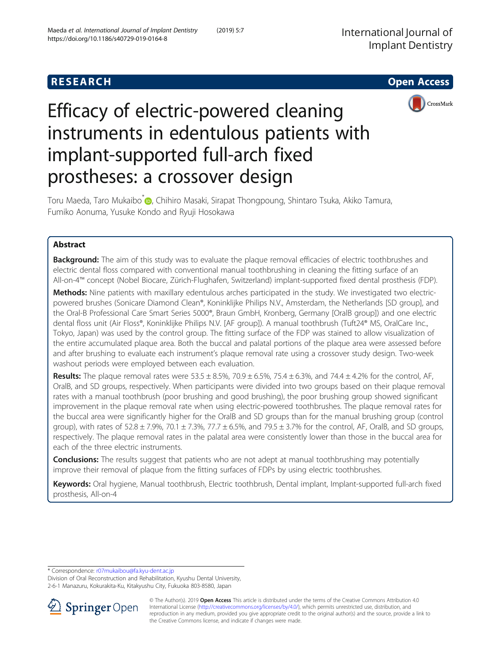## **RESEARCH CHE Open Access**



# Efficacy of electric-powered cleaning instruments in edentulous patients with implant-supported full-arch fixed prostheses: a crossover design

Toru Maeda[,](http://orcid.org/0000-0002-3650-9250) Taro Mukaibo<sup>\*</sup> , Chihiro Masaki, Sirapat Thongpoung, Shintaro Tsuka, Akiko Tamura, Fumiko Aonuma, Yusuke Kondo and Ryuji Hosokawa

## Abstract

**Background:** The aim of this study was to evaluate the plaque removal efficacies of electric toothbrushes and electric dental floss compared with conventional manual toothbrushing in cleaning the fitting surface of an All-on-4™ concept (Nobel Biocare, Zürich-Flughafen, Switzerland) implant-supported fixed dental prosthesis (FDP).

Methods: Nine patients with maxillary edentulous arches participated in the study. We investigated two electricpowered brushes (Sonicare Diamond Clean®, Koninklijke Philips N.V., Amsterdam, the Netherlands [SD group], and the Oral-B Professional Care Smart Series 5000®, Braun GmbH, Kronberg, Germany [OralB group]) and one electric dental floss unit (Air Floss®, Koninklijke Philips N.V. [AF group]). A manual toothbrush (Tuft24® MS, OralCare Inc., Tokyo, Japan) was used by the control group. The fitting surface of the FDP was stained to allow visualization of the entire accumulated plaque area. Both the buccal and palatal portions of the plaque area were assessed before and after brushing to evaluate each instrument's plaque removal rate using a crossover study design. Two-week washout periods were employed between each evaluation.

**Results:** The plaque removal rates were 53.5  $\pm$  8.5%, 70.9  $\pm$  6.5%, 75.4  $\pm$  6.3%, and 74.4  $\pm$  4.2% for the control, AF, OralB, and SD groups, respectively. When participants were divided into two groups based on their plaque removal rates with a manual toothbrush (poor brushing and good brushing), the poor brushing group showed significant improvement in the plaque removal rate when using electric-powered toothbrushes. The plaque removal rates for the buccal area were significantly higher for the OralB and SD groups than for the manual brushing group (control group), with rates of  $52.8 \pm 7.9$ %,  $70.1 \pm 7.3$ %,  $77.7 \pm 6.5$ %, and  $79.5 \pm 3.7$ % for the control, AF, OralB, and SD groups, respectively. The plaque removal rates in the palatal area were consistently lower than those in the buccal area for each of the three electric instruments.

**Conclusions:** The results suggest that patients who are not adept at manual toothbrushing may potentially improve their removal of plaque from the fitting surfaces of FDPs by using electric toothbrushes.

Keywords: Oral hygiene, Manual toothbrush, Electric toothbrush, Dental implant, Implant-supported full-arch fixed prosthesis, All-on-4

\* Correspondence: [r07mukaibou@fa.kyu-dent.ac.jp](mailto:r07mukaibou@fa.kyu-dent.ac.jp)

Division of Oral Reconstruction and Rehabilitation, Kyushu Dental University, 2-6-1 Manazuru, Kokurakita-Ku, Kitakyushu City, Fukuoka 803-8580, Japan



<sup>©</sup> The Author(s). 2019 Open Access This article is distributed under the terms of the Creative Commons Attribution 4.0 International License ([http://creativecommons.org/licenses/by/4.0/\)](http://creativecommons.org/licenses/by/4.0/), which permits unrestricted use, distribution, and reproduction in any medium, provided you give appropriate credit to the original author(s) and the source, provide a link to the Creative Commons license, and indicate if changes were made.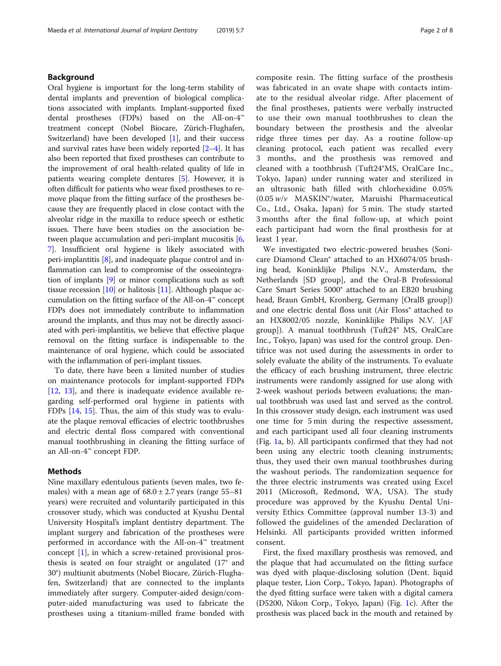## Background

Oral hygiene is important for the long-term stability of dental implants and prevention of biological complications associated with implants. Implant-supported fixed dental prostheses (FDPs) based on the All-on-4™ treatment concept (Nobel Biocare, Zürich-Flughafen, Switzerland) have been developed [[1](#page-7-0)], and their success and survival rates have been widely reported [[2](#page-7-0)–[4](#page-7-0)]. It has also been reported that fixed prostheses can contribute to the improvement of oral health-related quality of life in patients wearing complete dentures [\[5](#page-7-0)]. However, it is often difficult for patients who wear fixed prostheses to remove plaque from the fitting surface of the prostheses because they are frequently placed in close contact with the alveolar ridge in the maxilla to reduce speech or esthetic issues. There have been studies on the association between plaque accumulation and peri-implant mucositis [[6](#page-7-0), [7\]](#page-7-0). Insufficient oral hygiene is likely associated with peri-implantitis [\[8\]](#page-7-0), and inadequate plaque control and inflammation can lead to compromise of the osseointegration of implants [[9](#page-7-0)] or minor complications such as soft tissue recession  $[10]$  $[10]$  or halitosis  $[11]$  $[11]$  $[11]$ . Although plaque accumulation on the fitting surface of the All-on-4™ concept FDPs does not immediately contribute to inflammation around the implants, and thus may not be directly associated with peri-implantitis, we believe that effective plaque removal on the fitting surface is indispensable to the maintenance of oral hygiene, which could be associated with the inflammation of peri-implant tissues.

To date, there have been a limited number of studies on maintenance protocols for implant-supported FDPs [[12,](#page-7-0) [13](#page-7-0)], and there is inadequate evidence available regarding self-performed oral hygiene in patients with FDPs [[14,](#page-7-0) [15](#page-7-0)]. Thus, the aim of this study was to evaluate the plaque removal efficacies of electric toothbrushes and electric dental floss compared with conventional manual toothbrushing in cleaning the fitting surface of an All-on-4™ concept FDP.

#### Methods

Nine maxillary edentulous patients (seven males, two females) with a mean age of  $68.0 \pm 2.7$  years (range  $55-81$ years) were recruited and voluntarily participated in this crossover study, which was conducted at Kyushu Dental University Hospital's implant dentistry department. The implant surgery and fabrication of the prostheses were performed in accordance with the All-on-4™ treatment concept [[1](#page-7-0)], in which a screw-retained provisional prosthesis is seated on four straight or angulated (17° and 30°) multiunit abutments (Nobel Biocare, Zürich-Flughafen, Switzerland) that are connected to the implants immediately after surgery. Computer-aided design/computer-aided manufacturing was used to fabricate the prostheses using a titanium-milled frame bonded with composite resin. The fitting surface of the prosthesis was fabricated in an ovate shape with contacts intimate to the residual alveolar ridge. After placement of the final prostheses, patients were verbally instructed to use their own manual toothbrushes to clean the boundary between the prosthesis and the alveolar ridge three times per day. As a routine follow-up cleaning protocol, each patient was recalled every 3 months, and the prosthesis was removed and cleaned with a toothbrush (Tuft24®MS, OralCare Inc., Tokyo, Japan) under running water and sterilized in an ultrasonic bath filled with chlorhexidine 0.05%  $(0.05 \, w/v$  MASKIN<sup>®</sup>/water, Maruishi Pharmaceutical Co., Ltd., Osaka, Japan) for 5 min. The study started 3 months after the final follow-up, at which point each participant had worn the final prosthesis for at least 1 year.

We investigated two electric-powered brushes (Sonicare Diamond Clean® attached to an HX6074/05 brushing head, Koninklijke Philips N.V., Amsterdam, the Netherlands [SD group], and the Oral-B Professional Care Smart Series 5000® attached to an EB20 brushing head, Braun GmbH, Kronberg, Germany [OralB group]) and one electric dental floss unit (Air Floss<sup>®</sup> attached to an HX8002/05 nozzle, Koninklijke Philips N.V. [AF group]). A manual toothbrush (Tuft24® MS, OralCare Inc., Tokyo, Japan) was used for the control group. Dentifrice was not used during the assessments in order to solely evaluate the ability of the instruments. To evaluate the efficacy of each brushing instrument, three electric instruments were randomly assigned for use along with 2-week washout periods between evaluations; the manual toothbrush was used last and served as the control. In this crossover study design, each instrument was used one time for 5 min during the respective assessment, and each participant used all four cleaning instruments (Fig. [1a](#page-2-0), b). All participants confirmed that they had not been using any electric tooth cleaning instruments; thus, they used their own manual toothbrushes during the washout periods. The randomization sequence for the three electric instruments was created using Excel 2011 (Microsoft, Redmond, WA, USA). The study procedure was approved by the Kyushu Dental University Ethics Committee (approval number 13-3) and followed the guidelines of the amended Declaration of Helsinki. All participants provided written informed consent.

First, the fixed maxillary prosthesis was removed, and the plaque that had accumulated on the fitting surface was dyed with plaque-disclosing solution (Dent. liquid plaque tester, Lion Corp., Tokyo, Japan). Photographs of the dyed fitting surface were taken with a digital camera (D5200, Nikon Corp., Tokyo, Japan) (Fig. [1](#page-2-0)c). After the prosthesis was placed back in the mouth and retained by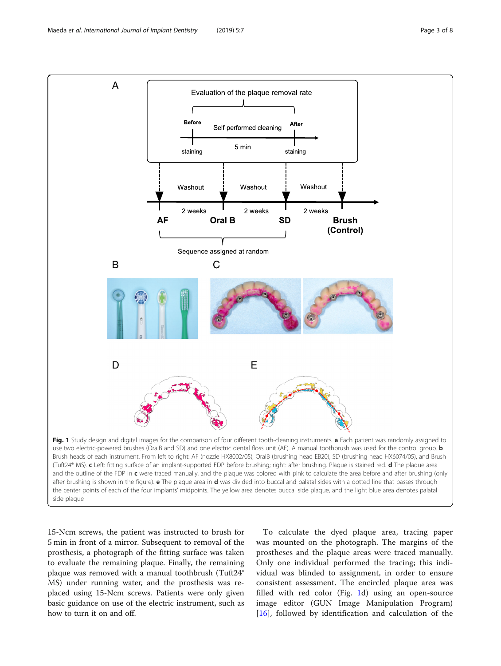<span id="page-2-0"></span>

15-Ncm screws, the patient was instructed to brush for 5 min in front of a mirror. Subsequent to removal of the prosthesis, a photograph of the fitting surface was taken to evaluate the remaining plaque. Finally, the remaining plaque was removed with a manual toothbrush (Tuft24® MS) under running water, and the prosthesis was replaced using 15-Ncm screws. Patients were only given basic guidance on use of the electric instrument, such as how to turn it on and off.

To calculate the dyed plaque area, tracing paper was mounted on the photograph. The margins of the prostheses and the plaque areas were traced manually. Only one individual performed the tracing; this individual was blinded to assignment, in order to ensure consistent assessment. The encircled plaque area was filled with red color (Fig. 1d) using an open-source image editor (GUN Image Manipulation Program) [[16\]](#page-7-0), followed by identification and calculation of the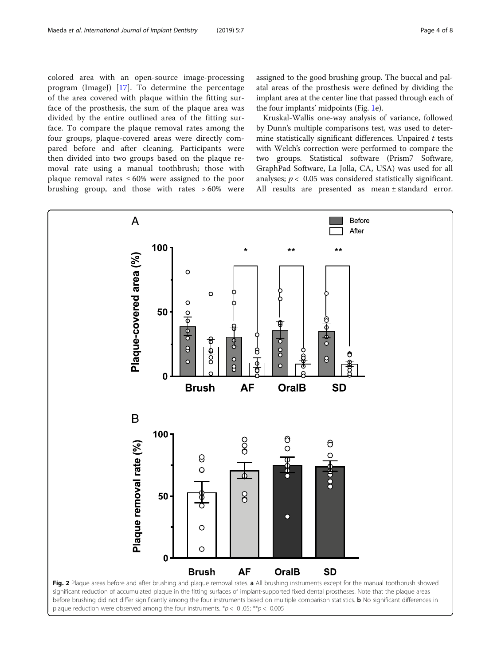<span id="page-3-0"></span>colored area with an open-source image-processing program (ImageJ) [\[17](#page-7-0)]. To determine the percentage of the area covered with plaque within the fitting surface of the prosthesis, the sum of the plaque area was divided by the entire outlined area of the fitting surface. To compare the plaque removal rates among the four groups, plaque-covered areas were directly compared before and after cleaning. Participants were then divided into two groups based on the plaque removal rate using a manual toothbrush; those with plaque removal rates  $\leq 60\%$  were assigned to the poor brushing group, and those with rates > 60% were

assigned to the good brushing group. The buccal and palatal areas of the prosthesis were defined by dividing the implant area at the center line that passed through each of the four implants' midpoints (Fig. [1](#page-2-0)e).

Kruskal-Wallis one-way analysis of variance, followed by Dunn's multiple comparisons test, was used to determine statistically significant differences. Unpaired  $t$  tests with Welch's correction were performed to compare the two groups. Statistical software (Prism7 Software, GraphPad Software, La Jolla, CA, USA) was used for all analyses;  $p < 0.05$  was considered statistically significant. All results are presented as mean ± standard error.



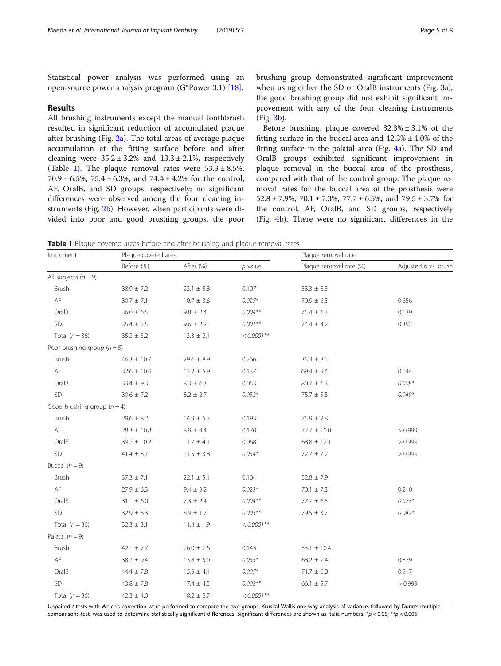Statistical power analysis was performed using an open-source power analysis program (G\*Power 3.1) [\[18\]](#page-7-0).

## Results

All brushing instruments except the manual toothbrush resulted in significant reduction of accumulated plaque after brushing (Fig. [2](#page-3-0)a). The total areas of average plaque accumulation at the fitting surface before and after cleaning were  $35.2 \pm 3.2\%$  and  $13.3 \pm 2.1\%$ , respectively (Table 1). The plaque removal rates were  $53.3 \pm 8.5$ %,  $70.9 \pm 6.5$ %,  $75.4 \pm 6.3$ %, and  $74.4 \pm 4.2$ % for the control, AF, OralB, and SD groups, respectively; no significant differences were observed among the four cleaning instruments (Fig. [2](#page-3-0)b). However, when participants were divided into poor and good brushing groups, the poor

brushing group demonstrated significant improvement when using either the SD or OralB instruments (Fig. [3a](#page-5-0)); the good brushing group did not exhibit significant improvement with any of the four cleaning instruments (Fig. [3](#page-5-0)b).

Before brushing, plaque covered  $32.3\% \pm 3.1\%$  of the fitting surface in the buccal area and  $42.3\% \pm 4.0\%$  of the fitting surface in the palatal area (Fig. [4](#page-6-0)a). The SD and OralB groups exhibited significant improvement in plaque removal in the buccal area of the prosthesis, compared with that of the control group. The plaque removal rates for the buccal area of the prosthesis were 52.8  $\pm$  7.9%, 70.1  $\pm$  7.3%, 77.7  $\pm$  6.5%, and 79.5  $\pm$  3.7% for the control, AF, OralB, and SD groups, respectively (Fig. [4](#page-6-0)b). There were no significant differences in the

Table 1 Plaque-covered areas before and after brushing and plaque removal rates

| Instrument                      | Plaque-covered area |                  |               | Plaque removal rate     |                        |
|---------------------------------|---------------------|------------------|---------------|-------------------------|------------------------|
|                                 | Before (%)          | After (%)        | $p$ value     | Plaque removal rate (%) | Adjusted $p$ vs. brush |
| All subjects $(n = 9)$          |                     |                  |               |                         |                        |
| <b>Brush</b>                    | $38.9 \pm 7.2$      | $23.1 \pm 5.8$   | 0.107         | $53.3 \pm 8.5$          |                        |
| AF                              | $30.7 \pm 7.1$      | $10.7\pm3.6$     | $0.027*$      | $70.9 \pm 6.5$          | 0.656                  |
| OralB                           | $36.0 \pm 6.5$      | $9.8 \pm 2.4$    | $0.004**$     | $75.4\pm6.3$            | 0.139                  |
| SD                              | $35.4 \pm 5.5$      | $9.6 \pm 2.2$    | $0.001**$     | $74.4$ $\pm$ $4.2$      | 0.352                  |
| Total $(n = 36)$                | $35.2 \pm 3.2$      | $13.3 \pm 2.1$   | $< 0.0001$ ** |                         |                        |
| Poor brushing group ( $n = 5$ ) |                     |                  |               |                         |                        |
| <b>Brush</b>                    | $46.3 \pm 10.7$     | $29.6 \pm 8.9$   | 0.266         | $35.3 \pm 8.5$          |                        |
| AF                              | $32.6 \pm 10.4$     | $12.2 \pm 5.9$   | 0.137         | $69.4 \pm 9.4$          | 0.144                  |
| OralB                           | $33.4 \pm 9.3$      | $8.3 \pm 6.3$    | 0.053         | $80.7 \pm 6.3$          | $0.008*$               |
| SD                              | $30.6 \pm 7.2$      | $8.2 \pm 2.7$    | $0.032*$      | $75.7 \pm 5.5$          | $0.049*$               |
| Good brushing group $(n = 4)$   |                     |                  |               |                         |                        |
| <b>Brush</b>                    | $29.6 \pm 8.2$      | $14.9 \pm 5.3$   | 0.193         | $75.9 \pm 2.8$          |                        |
| AF                              | $28.3 \pm 10.8$     | $8.9 \pm 4.4$    | 0.170         | $72.7 \pm 10.0$         | > 0.999                |
| OralB                           | $39.2 \pm 10.2$     | $11.7 \pm 4.1$   | 0.068         | $68.8 \pm 12.1$         | > 0.999                |
| SD                              | $41.4 \pm 8.7$      | $11.5\,\pm\,3.8$ | $0.034*$      | $72.7 \pm 7.2$          | > 0.999                |
| Buccal $(n = 9)$                |                     |                  |               |                         |                        |
| <b>Brush</b>                    | $37.3 \pm 7.1$      | $22.1 \pm 5.1$   | 0.104         | $52.8 \pm 7.9$          |                        |
| AF                              | $27.9 \pm 6.3$      | $9.4 \pm 3.2$    | $0.023*$      | $70.1 \pm 7.3$          | 0.210                  |
| OralB                           | $31.1 \pm 6.0$      | $7.3 \pm 2.4$    | $0.004**$     | $77.7 \pm 6.5$          | $0.023*$               |
| SD                              | $32.9 \pm 6.3$      | $6.9 \pm 1.7$    | $0.003**$     | $79.5 \pm 3.7$          | $0.042*$               |
| Total $(n = 36)$                | $32.3 \pm 3.1$      | $11.4 \pm 1.9$   | $< 0.0001$ ** |                         |                        |
| Palatal $(n = 9)$               |                     |                  |               |                         |                        |
| Brush                           | $42.1 \pm 7.7$      | $26.0 \pm 7.6$   | 0.143         | 53.1 $\pm$ 10.4         |                        |
| AF                              | $38.2 \pm 9.4$      | $13.8 \pm 5.0$   | $0.035*$      | $68.2 \pm 7.4$          | 0.879                  |
| OralB                           | $44.4 \pm 7.8$      | $15.9 \pm 4.1$   | $0.007*$      | $71.7 \pm 6.0$          | 0.517                  |
| SD                              | $43.8 \pm 7.8$      | $17.4 \pm 4.5$   | $0.002**$     | $66.1 \pm 5.7$          | > 0.999                |
| Total $(n = 36)$                | $42.3 \pm 4.0$      | $18.2 \pm 2.7$   | $< 0.0001$ ** |                         |                        |

Unpaired t tests with Welch's correction were performed to compare the two groups. Kruskal-Wallis one-way analysis of variance, followed by Dunn's multiple comparisons test, was used to determine statistically significant differences. Significant differences are shown as italic numbers. \*p < 0.05; \*\*p < 0.005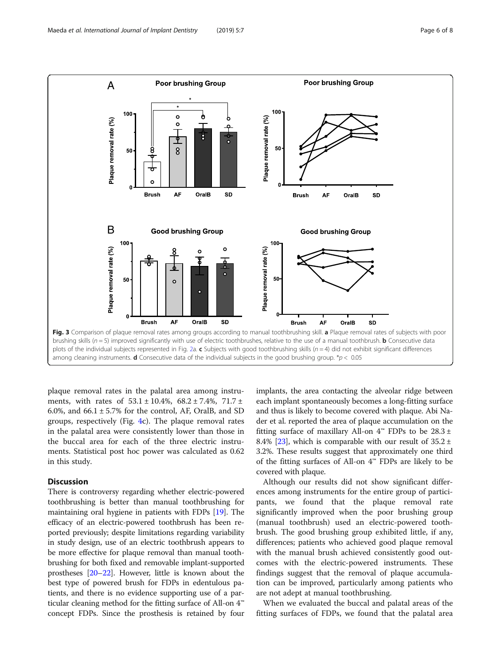<span id="page-5-0"></span>

plaque removal rates in the palatal area among instruments, with rates of  $53.1 \pm 10.4\%$ ,  $68.2 \pm 7.4\%$ ,  $71.7 \pm 10.4\%$ 6.0%, and  $66.1 \pm 5.7$ % for the control, AF, OralB, and SD groups, respectively (Fig. [4](#page-6-0)c). The plaque removal rates in the palatal area were consistently lower than those in the buccal area for each of the three electric instruments. Statistical post hoc power was calculated as 0.62 in this study.

## **Discussion**

There is controversy regarding whether electric-powered toothbrushing is better than manual toothbrushing for maintaining oral hygiene in patients with FDPs [\[19\]](#page-7-0). The efficacy of an electric-powered toothbrush has been reported previously; despite limitations regarding variability in study design, use of an electric toothbrush appears to be more effective for plaque removal than manual toothbrushing for both fixed and removable implant-supported prostheses [\[20](#page-7-0)–[22\]](#page-7-0). However, little is known about the best type of powered brush for FDPs in edentulous patients, and there is no evidence supporting use of a particular cleaning method for the fitting surface of All-on 4™ concept FDPs. Since the prosthesis is retained by four implants, the area contacting the alveolar ridge between each implant spontaneously becomes a long-fitting surface and thus is likely to become covered with plaque. Abi Nader et al. reported the area of plaque accumulation on the fitting surface of maxillary All-on  $4^m$  FDPs to be  $28.3 \pm$ 8.4% [\[23\]](#page-7-0), which is comparable with our result of  $35.2 \pm$ 3.2%. These results suggest that approximately one third of the fitting surfaces of All-on 4™ FDPs are likely to be covered with plaque.

Although our results did not show significant differences among instruments for the entire group of participants, we found that the plaque removal rate significantly improved when the poor brushing group (manual toothbrush) used an electric-powered toothbrush. The good brushing group exhibited little, if any, differences; patients who achieved good plaque removal with the manual brush achieved consistently good outcomes with the electric-powered instruments. These findings suggest that the removal of plaque accumulation can be improved, particularly among patients who are not adept at manual toothbrushing.

When we evaluated the buccal and palatal areas of the fitting surfaces of FDPs, we found that the palatal area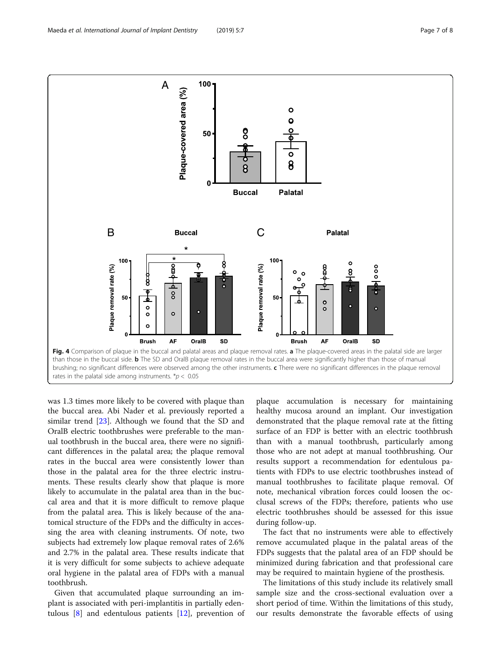<span id="page-6-0"></span>

was 1.3 times more likely to be covered with plaque than the buccal area. Abi Nader et al. previously reported a similar trend [[23](#page-7-0)]. Although we found that the SD and OralB electric toothbrushes were preferable to the manual toothbrush in the buccal area, there were no significant differences in the palatal area; the plaque removal rates in the buccal area were consistently lower than those in the palatal area for the three electric instruments. These results clearly show that plaque is more likely to accumulate in the palatal area than in the buccal area and that it is more difficult to remove plaque from the palatal area. This is likely because of the anatomical structure of the FDPs and the difficulty in accessing the area with cleaning instruments. Of note, two subjects had extremely low plaque removal rates of 2.6% and 2.7% in the palatal area. These results indicate that it is very difficult for some subjects to achieve adequate oral hygiene in the palatal area of FDPs with a manual toothbrush.

Given that accumulated plaque surrounding an implant is associated with peri-implantitis in partially edentulous [\[8](#page-7-0)] and edentulous patients [\[12](#page-7-0)], prevention of

plaque accumulation is necessary for maintaining healthy mucosa around an implant. Our investigation demonstrated that the plaque removal rate at the fitting surface of an FDP is better with an electric toothbrush than with a manual toothbrush, particularly among those who are not adept at manual toothbrushing. Our results support a recommendation for edentulous patients with FDPs to use electric toothbrushes instead of manual toothbrushes to facilitate plaque removal. Of note, mechanical vibration forces could loosen the occlusal screws of the FDPs; therefore, patients who use electric toothbrushes should be assessed for this issue during follow-up.

The fact that no instruments were able to effectively remove accumulated plaque in the palatal areas of the FDPs suggests that the palatal area of an FDP should be minimized during fabrication and that professional care may be required to maintain hygiene of the prosthesis.

The limitations of this study include its relatively small sample size and the cross-sectional evaluation over a short period of time. Within the limitations of this study, our results demonstrate the favorable effects of using